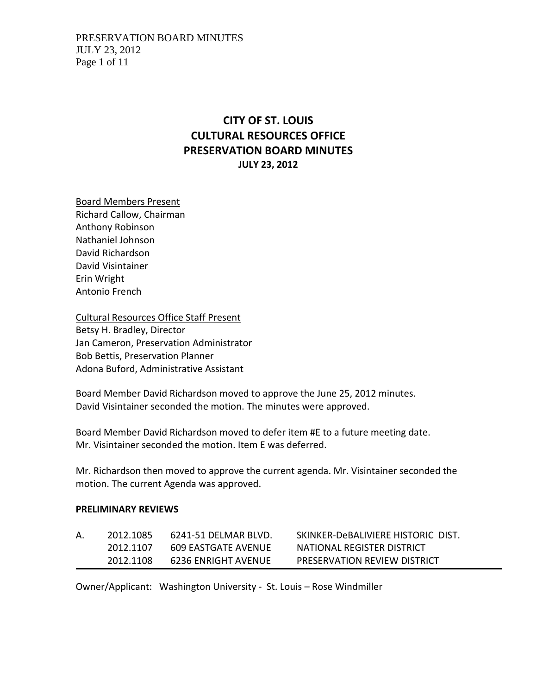# **CITY OF ST. LOUIS CULTURAL RESOURCES OFFICE PRESERVATION BOARD MINUTES JULY 23, 2012**

Board Members Present Richard Callow, Chairman Anthony Robinson Nathaniel Johnson David Richardson David Visintainer Erin Wright Antonio French

Cultural Resources Office Staff Present Betsy H. Bradley, Director Jan Cameron, Preservation Administrator Bob Bettis, Preservation Planner Adona Buford, Administrative Assistant

Board Member David Richardson moved to approve the June 25, 2012 minutes. David Visintainer seconded the motion. The minutes were approved.

Board Member David Richardson moved to defer item #E to a future meeting date. Mr. Visintainer seconded the motion. Item E was deferred.

Mr. Richardson then moved to approve the current agenda. Mr. Visintainer seconded the motion. The current Agenda was approved.

#### **PRELIMINARY REVIEWS**

| 2012.1085 | 6241-51 DELMAR BLVD. | SKINKER-DeBALIVIERE HISTORIC DIST. |
|-----------|----------------------|------------------------------------|
| 2012.1107 | 609 EASTGATE AVENUE  | NATIONAL REGISTER DISTRICT         |
| 2012.1108 | 6236 ENRIGHT AVENUE  | PRESERVATION REVIEW DISTRICT       |

Owner/Applicant: Washington University ‐ St. Louis – Rose Windmiller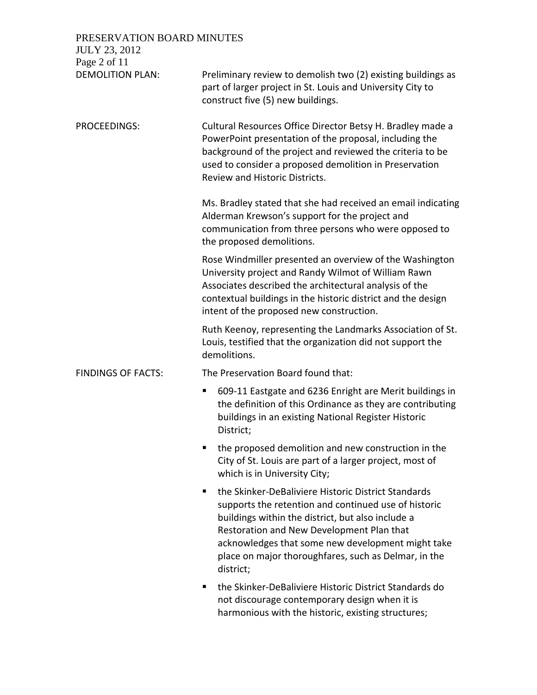# PRESERVATION BOARD MINUTES

| <b>JULY 23, 2012</b><br>Page 2 of 11 |                                                                                                                                                                                                                                                                                                                                              |
|--------------------------------------|----------------------------------------------------------------------------------------------------------------------------------------------------------------------------------------------------------------------------------------------------------------------------------------------------------------------------------------------|
| <b>DEMOLITION PLAN:</b>              | Preliminary review to demolish two (2) existing buildings as<br>part of larger project in St. Louis and University City to<br>construct five (5) new buildings.                                                                                                                                                                              |
| PROCEEDINGS:                         | Cultural Resources Office Director Betsy H. Bradley made a<br>PowerPoint presentation of the proposal, including the<br>background of the project and reviewed the criteria to be<br>used to consider a proposed demolition in Preservation<br>Review and Historic Districts.                                                                |
|                                      | Ms. Bradley stated that she had received an email indicating<br>Alderman Krewson's support for the project and<br>communication from three persons who were opposed to<br>the proposed demolitions.                                                                                                                                          |
|                                      | Rose Windmiller presented an overview of the Washington<br>University project and Randy Wilmot of William Rawn<br>Associates described the architectural analysis of the<br>contextual buildings in the historic district and the design<br>intent of the proposed new construction.                                                         |
|                                      | Ruth Keenoy, representing the Landmarks Association of St.<br>Louis, testified that the organization did not support the<br>demolitions.                                                                                                                                                                                                     |
| <b>FINDINGS OF FACTS:</b>            | The Preservation Board found that:                                                                                                                                                                                                                                                                                                           |
|                                      | 609-11 Eastgate and 6236 Enright are Merit buildings in<br>п<br>the definition of this Ordinance as they are contributing<br>buildings in an existing National Register Historic<br>District;                                                                                                                                                |
|                                      | the proposed demolition and new construction in the<br>City of St. Louis are part of a larger project, most of<br>which is in University City;                                                                                                                                                                                               |
|                                      | the Skinker-DeBaliviere Historic District Standards<br>٠<br>supports the retention and continued use of historic<br>buildings within the district, but also include a<br>Restoration and New Development Plan that<br>acknowledges that some new development might take<br>place on major thoroughfares, such as Delmar, in the<br>district; |
|                                      | the Skinker-DeBaliviere Historic District Standards do<br>٠<br>not discourage contemporary design when it is                                                                                                                                                                                                                                 |

harmonious with the historic, existing structures;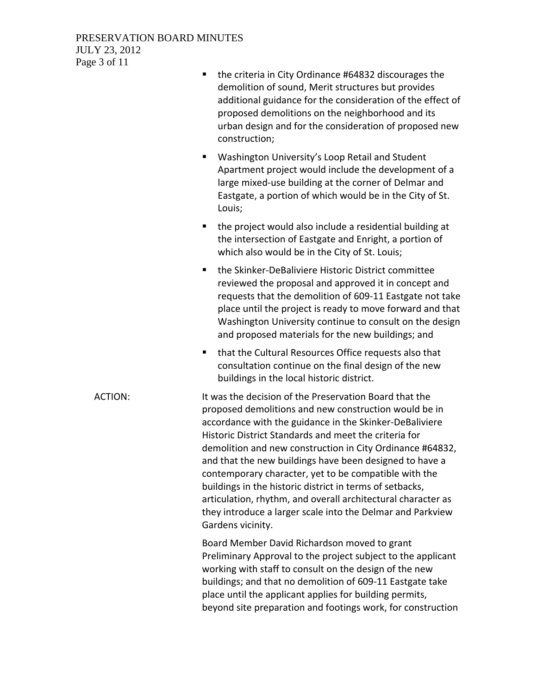# PRESERVATION BOARD MINUTES JULY 23, 2012 Page 3 of 11

| 1ge o 01 11    |                                                                                                                                                                                                                                                                                                                                                                                                                                                                                                                                                                                                                                     |
|----------------|-------------------------------------------------------------------------------------------------------------------------------------------------------------------------------------------------------------------------------------------------------------------------------------------------------------------------------------------------------------------------------------------------------------------------------------------------------------------------------------------------------------------------------------------------------------------------------------------------------------------------------------|
|                | the criteria in City Ordinance #64832 discourages the<br>demolition of sound, Merit structures but provides<br>additional guidance for the consideration of the effect of<br>proposed demolitions on the neighborhood and its<br>urban design and for the consideration of proposed new<br>construction;                                                                                                                                                                                                                                                                                                                            |
|                | Washington University's Loop Retail and Student<br>٠<br>Apartment project would include the development of a<br>large mixed-use building at the corner of Delmar and<br>Eastgate, a portion of which would be in the City of St.<br>Louis;                                                                                                                                                                                                                                                                                                                                                                                          |
|                | the project would also include a residential building at<br>п<br>the intersection of Eastgate and Enright, a portion of<br>which also would be in the City of St. Louis;                                                                                                                                                                                                                                                                                                                                                                                                                                                            |
|                | the Skinker-DeBaliviere Historic District committee<br>٠<br>reviewed the proposal and approved it in concept and<br>requests that the demolition of 609-11 Eastgate not take<br>place until the project is ready to move forward and that<br>Washington University continue to consult on the design<br>and proposed materials for the new buildings; and                                                                                                                                                                                                                                                                           |
|                | that the Cultural Resources Office requests also that<br>٠<br>consultation continue on the final design of the new<br>buildings in the local historic district.                                                                                                                                                                                                                                                                                                                                                                                                                                                                     |
| <b>ACTION:</b> | It was the decision of the Preservation Board that the<br>proposed demolitions and new construction would be in<br>accordance with the guidance in the Skinker-DeBaliviere<br>Historic District Standards and meet the criteria for<br>demolition and new construction in City Ordinance #64832,<br>and that the new buildings have been designed to have a<br>contemporary character, yet to be compatible with the<br>buildings in the historic district in terms of setbacks,<br>articulation, rhythm, and overall architectural character as<br>they introduce a larger scale into the Delmar and Parkview<br>Gardens vicinity. |
|                | Board Member David Richardson moved to grant<br>Preliminary Approval to the project subject to the applicant<br>working with staff to consult on the design of the new<br>buildings; and that no demolition of 609-11 Eastgate take<br>place until the applicant applies for building permits,<br>beyond site preparation and footings work, for construction                                                                                                                                                                                                                                                                       |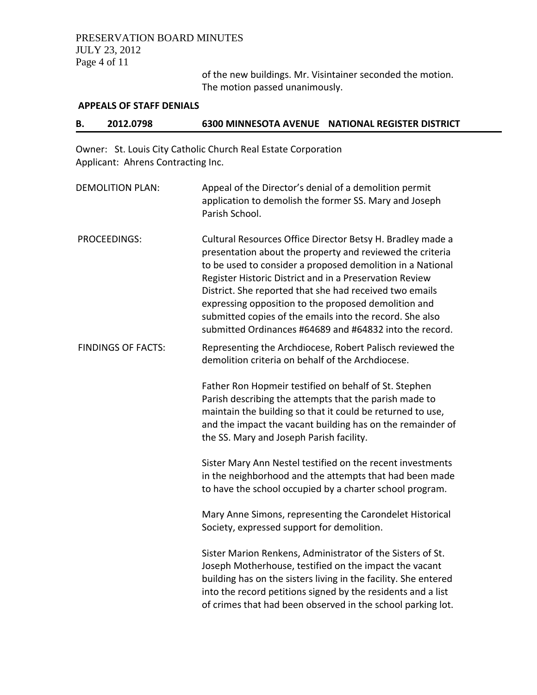## PRESERVATION BOARD MINUTES JULY 23, 2012 Page 4 of 11

of the new buildings. Mr. Visintainer seconded the motion. The motion passed unanimously.

#### **APPEALS OF STAFF DENIALS**

#### **B. 2012.0798 6300 MINNESOTA AVENUE NATIONAL REGISTER DISTRICT**

Owner: St. Louis City Catholic Church Real Estate Corporation Applicant: Ahrens Contracting Inc.

| <b>DEMOLITION PLAN:</b>   | Appeal of the Director's denial of a demolition permit<br>application to demolish the former SS. Mary and Joseph<br>Parish School.                                                                                                                                                                                                                                                                                                                                                         |
|---------------------------|--------------------------------------------------------------------------------------------------------------------------------------------------------------------------------------------------------------------------------------------------------------------------------------------------------------------------------------------------------------------------------------------------------------------------------------------------------------------------------------------|
| <b>PROCEEDINGS:</b>       | Cultural Resources Office Director Betsy H. Bradley made a<br>presentation about the property and reviewed the criteria<br>to be used to consider a proposed demolition in a National<br>Register Historic District and in a Preservation Review<br>District. She reported that she had received two emails<br>expressing opposition to the proposed demolition and<br>submitted copies of the emails into the record. She also<br>submitted Ordinances #64689 and #64832 into the record. |
| <b>FINDINGS OF FACTS:</b> | Representing the Archdiocese, Robert Palisch reviewed the<br>demolition criteria on behalf of the Archdiocese.                                                                                                                                                                                                                                                                                                                                                                             |
|                           | Father Ron Hopmeir testified on behalf of St. Stephen<br>Parish describing the attempts that the parish made to<br>maintain the building so that it could be returned to use,<br>and the impact the vacant building has on the remainder of<br>the SS. Mary and Joseph Parish facility.                                                                                                                                                                                                    |
|                           | Sister Mary Ann Nestel testified on the recent investments<br>in the neighborhood and the attempts that had been made<br>to have the school occupied by a charter school program.                                                                                                                                                                                                                                                                                                          |
|                           | Mary Anne Simons, representing the Carondelet Historical<br>Society, expressed support for demolition.                                                                                                                                                                                                                                                                                                                                                                                     |
|                           | Sister Marion Renkens, Administrator of the Sisters of St.<br>Joseph Motherhouse, testified on the impact the vacant<br>building has on the sisters living in the facility. She entered<br>into the record petitions signed by the residents and a list<br>of crimes that had been observed in the school parking lot.                                                                                                                                                                     |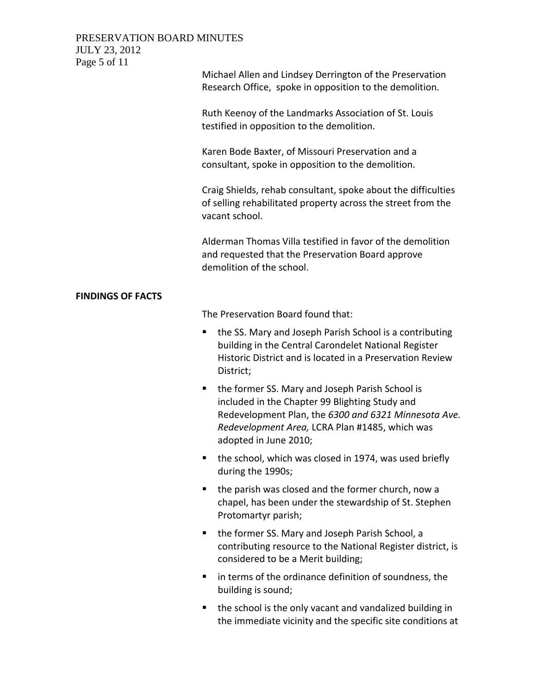| PRESERVATION BOARD MINUTES |  |
|----------------------------|--|
| JULY 23, 2012              |  |
|                            |  |

| 301120, 2012<br>Page 5 of 11 |                                                                                                                                                                                                                                           |
|------------------------------|-------------------------------------------------------------------------------------------------------------------------------------------------------------------------------------------------------------------------------------------|
|                              | Michael Allen and Lindsey Derrington of the Preservation<br>Research Office, spoke in opposition to the demolition.                                                                                                                       |
|                              | Ruth Keenoy of the Landmarks Association of St. Louis<br>testified in opposition to the demolition.                                                                                                                                       |
|                              | Karen Bode Baxter, of Missouri Preservation and a<br>consultant, spoke in opposition to the demolition.                                                                                                                                   |
|                              | Craig Shields, rehab consultant, spoke about the difficulties<br>of selling rehabilitated property across the street from the<br>vacant school.                                                                                           |
|                              | Alderman Thomas Villa testified in favor of the demolition<br>and requested that the Preservation Board approve<br>demolition of the school.                                                                                              |
| <b>FINDINGS OF FACTS</b>     |                                                                                                                                                                                                                                           |
|                              | The Preservation Board found that:                                                                                                                                                                                                        |
|                              | the SS. Mary and Joseph Parish School is a contributing<br>ш<br>building in the Central Carondelet National Register<br>Historic District and is located in a Preservation Review<br>District;                                            |
|                              | the former SS. Mary and Joseph Parish School is<br>ш<br>included in the Chapter 99 Blighting Study and<br>Redevelopment Plan, the 6300 and 6321 Minnesota Ave.<br>Redevelopment Area, LCRA Plan #1485, which was<br>adopted in June 2010; |
|                              | the school, which was closed in 1974, was used briefly<br>during the 1990s;                                                                                                                                                               |
|                              | the parish was closed and the former church, now a<br>٠<br>chapel, has been under the stewardship of St. Stephen<br>Protomartyr parish;                                                                                                   |
|                              | the former SS. Mary and Joseph Parish School, a<br>٠<br>contributing resource to the National Register district, is<br>considered to be a Merit building;                                                                                 |
|                              | in terms of the ordinance definition of soundness, the<br>٠<br>building is sound;                                                                                                                                                         |
|                              | the school is the only vacant and vandalized building in<br>the immediate vicinity and the specific site conditions at                                                                                                                    |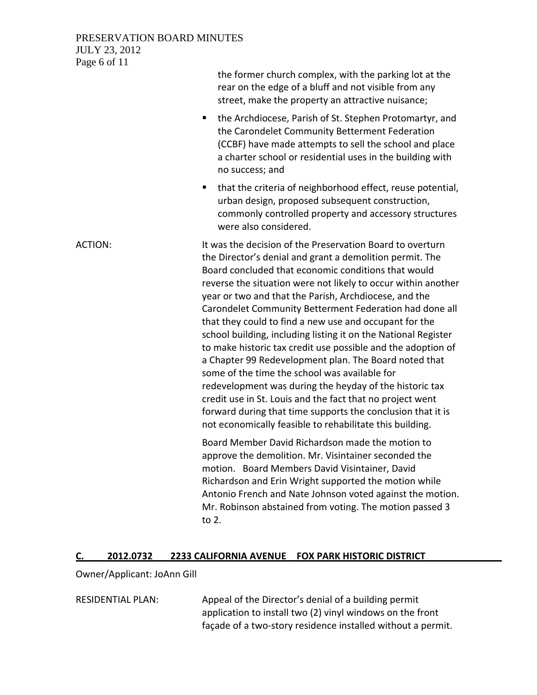#### PRESERVATION BOARD MINUTES JULY 23, 2012 Page 6 of 11

|                | the former church complex, with the parking lot at the<br>rear on the edge of a bluff and not visible from any<br>street, make the property an attractive nuisance;                                                                                                                                                                                                                                                                                                                                                                                                                                                                                                                                                                                                                                                                                                                                                        |
|----------------|----------------------------------------------------------------------------------------------------------------------------------------------------------------------------------------------------------------------------------------------------------------------------------------------------------------------------------------------------------------------------------------------------------------------------------------------------------------------------------------------------------------------------------------------------------------------------------------------------------------------------------------------------------------------------------------------------------------------------------------------------------------------------------------------------------------------------------------------------------------------------------------------------------------------------|
|                | the Archdiocese, Parish of St. Stephen Protomartyr, and<br>п<br>the Carondelet Community Betterment Federation<br>(CCBF) have made attempts to sell the school and place<br>a charter school or residential uses in the building with<br>no success; and                                                                                                                                                                                                                                                                                                                                                                                                                                                                                                                                                                                                                                                                   |
|                | that the criteria of neighborhood effect, reuse potential,<br>٠<br>urban design, proposed subsequent construction,<br>commonly controlled property and accessory structures<br>were also considered.                                                                                                                                                                                                                                                                                                                                                                                                                                                                                                                                                                                                                                                                                                                       |
| <b>ACTION:</b> | It was the decision of the Preservation Board to overturn<br>the Director's denial and grant a demolition permit. The<br>Board concluded that economic conditions that would<br>reverse the situation were not likely to occur within another<br>year or two and that the Parish, Archdiocese, and the<br>Carondelet Community Betterment Federation had done all<br>that they could to find a new use and occupant for the<br>school building, including listing it on the National Register<br>to make historic tax credit use possible and the adoption of<br>a Chapter 99 Redevelopment plan. The Board noted that<br>some of the time the school was available for<br>redevelopment was during the heyday of the historic tax<br>credit use in St. Louis and the fact that no project went<br>forward during that time supports the conclusion that it is<br>not economically feasible to rehabilitate this building. |
|                | Board Member David Richardson made the motion to<br>approve the demolition. Mr. Visintainer seconded the<br>motion. Board Members David Visintainer, David<br>Richardson and Erin Wright supported the motion while<br>Antonio French and Nate Johnson voted against the motion.<br>Mr. Robinson abstained from voting. The motion passed 3<br>to 2.                                                                                                                                                                                                                                                                                                                                                                                                                                                                                                                                                                       |

## **C. 2012.0732 2233 CALIFORNIA AVENUE FOX PARK HISTORIC DISTRICT**

## Owner/Applicant: JoAnn Gill

RESIDENTIAL PLAN: Appeal of the Director's denial of a building permit application to install two (2) vinyl windows on the front façade of a two‐story residence installed without a permit.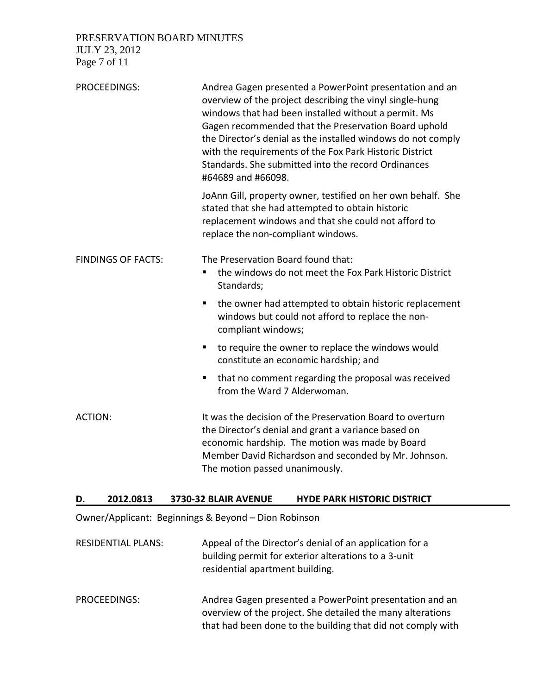PRESERVATION BOARD MINUTES

JULY 23, 2012 Page 7 of 11

| <b>PROCEEDINGS:</b>       | Andrea Gagen presented a PowerPoint presentation and an<br>overview of the project describing the vinyl single-hung<br>windows that had been installed without a permit. Ms<br>Gagen recommended that the Preservation Board uphold<br>the Director's denial as the installed windows do not comply<br>with the requirements of the Fox Park Historic District<br>Standards. She submitted into the record Ordinances<br>#64689 and #66098. |
|---------------------------|---------------------------------------------------------------------------------------------------------------------------------------------------------------------------------------------------------------------------------------------------------------------------------------------------------------------------------------------------------------------------------------------------------------------------------------------|
|                           | JoAnn Gill, property owner, testified on her own behalf. She<br>stated that she had attempted to obtain historic<br>replacement windows and that she could not afford to<br>replace the non-compliant windows.                                                                                                                                                                                                                              |
| <b>FINDINGS OF FACTS:</b> | The Preservation Board found that:<br>the windows do not meet the Fox Park Historic District<br>٠<br>Standards;                                                                                                                                                                                                                                                                                                                             |
|                           | the owner had attempted to obtain historic replacement<br>windows but could not afford to replace the non-<br>compliant windows;                                                                                                                                                                                                                                                                                                            |
|                           | to require the owner to replace the windows would<br>п<br>constitute an economic hardship; and                                                                                                                                                                                                                                                                                                                                              |
|                           | that no comment regarding the proposal was received<br>ш<br>from the Ward 7 Alderwoman.                                                                                                                                                                                                                                                                                                                                                     |
| ACTION:                   | It was the decision of the Preservation Board to overturn<br>the Director's denial and grant a variance based on<br>economic hardship. The motion was made by Board<br>Member David Richardson and seconded by Mr. Johnson.<br>The motion passed unanimously.                                                                                                                                                                               |

#### **D. 2012.0813 3730‐32 BLAIR AVENUE HYDE PARK HISTORIC DISTRICT**

Owner/Applicant: Beginnings & Beyond – Dion Robinson

- RESIDENTIAL PLANS: Appeal of the Director's denial of an application for a building permit for exterior alterations to a 3‐unit residential apartment building.
- PROCEEDINGS: Andrea Gagen presented a PowerPoint presentation and an overview of the project. She detailed the many alterations that had been done to the building that did not comply with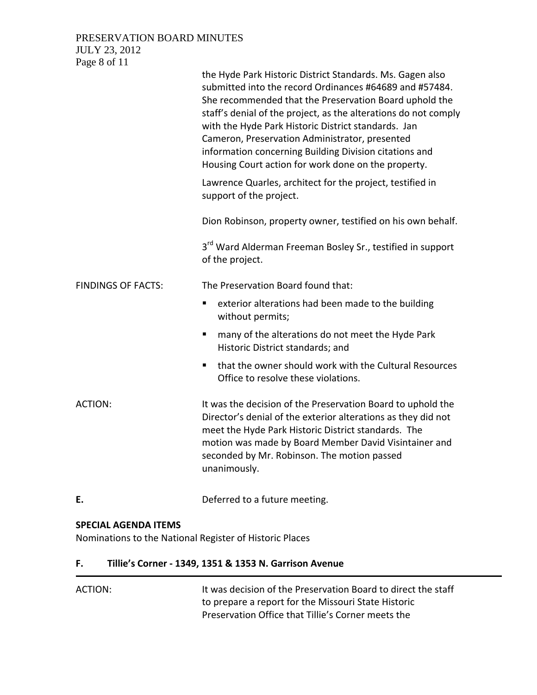## PRESERVATION BOARD MINUTES JULY 23, 2012

Page 8 of 11

|                           | the Hyde Park Historic District Standards. Ms. Gagen also<br>submitted into the record Ordinances #64689 and #57484.<br>She recommended that the Preservation Board uphold the<br>staff's denial of the project, as the alterations do not comply<br>with the Hyde Park Historic District standards. Jan<br>Cameron, Preservation Administrator, presented<br>information concerning Building Division citations and<br>Housing Court action for work done on the property. |
|---------------------------|-----------------------------------------------------------------------------------------------------------------------------------------------------------------------------------------------------------------------------------------------------------------------------------------------------------------------------------------------------------------------------------------------------------------------------------------------------------------------------|
|                           | Lawrence Quarles, architect for the project, testified in<br>support of the project.                                                                                                                                                                                                                                                                                                                                                                                        |
|                           | Dion Robinson, property owner, testified on his own behalf.                                                                                                                                                                                                                                                                                                                                                                                                                 |
|                           | 3 <sup>rd</sup> Ward Alderman Freeman Bosley Sr., testified in support<br>of the project.                                                                                                                                                                                                                                                                                                                                                                                   |
| <b>FINDINGS OF FACTS:</b> | The Preservation Board found that:                                                                                                                                                                                                                                                                                                                                                                                                                                          |
|                           | exterior alterations had been made to the building<br>٠<br>without permits;                                                                                                                                                                                                                                                                                                                                                                                                 |
|                           | many of the alterations do not meet the Hyde Park<br>ш<br>Historic District standards; and                                                                                                                                                                                                                                                                                                                                                                                  |
|                           | that the owner should work with the Cultural Resources<br>п<br>Office to resolve these violations.                                                                                                                                                                                                                                                                                                                                                                          |
| <b>ACTION:</b>            | It was the decision of the Preservation Board to uphold the<br>Director's denial of the exterior alterations as they did not<br>meet the Hyde Park Historic District standards. The<br>motion was made by Board Member David Visintainer and<br>seconded by Mr. Robinson. The motion passed<br>unanimously.                                                                                                                                                                 |
| Е.                        | Deferred to a future meeting.                                                                                                                                                                                                                                                                                                                                                                                                                                               |

## **SPECIAL AGENDA ITEMS**

Nominations to the National Register of Historic Places

# **F. Tillie's Corner ‐ 1349, 1351 & 1353 N. Garrison Avenue**

| ACTION: | It was decision of the Preservation Board to direct the staff |
|---------|---------------------------------------------------------------|
|         | to prepare a report for the Missouri State Historic           |
|         | Preservation Office that Tillie's Corner meets the            |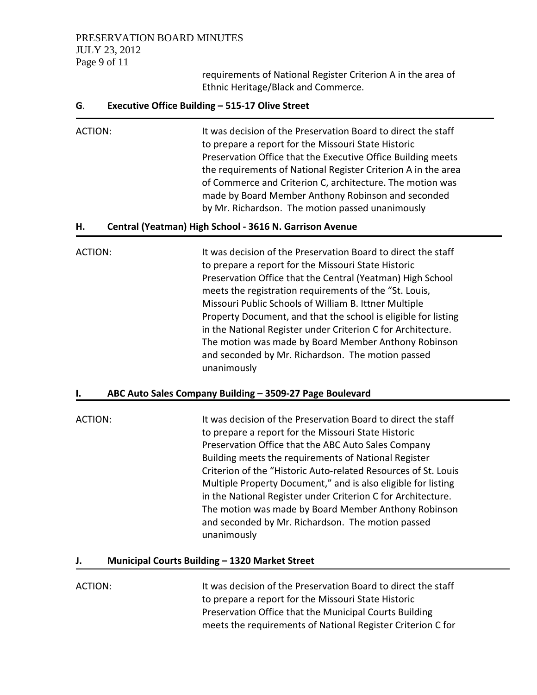## PRESERVATION BOARD MINUTES JULY 23, 2012 Page 9 of 11

requirements of National Register Criterion A in the area of Ethnic Heritage/Black and Commerce.

#### **G**. **Executive Office Building – 515‐17 Olive Street**

ACTION: It was decision of the Preservation Board to direct the staff to prepare a report for the Missouri State Historic Preservation Office that the Executive Office Building meets the requirements of National Register Criterion A in the area of Commerce and Criterion C, architecture. The motion was made by Board Member Anthony Robinson and seconded by Mr. Richardson. The motion passed unanimously

#### **H. Central (Yeatman) High School ‐ 3616 N. Garrison Avenue**

ACTION: It was decision of the Preservation Board to direct the staff to prepare a report for the Missouri State Historic Preservation Office that the Central (Yeatman) High School meets the registration requirements of the "St. Louis, Missouri Public Schools of William B. Ittner Multiple Property Document, and that the school is eligible for listing in the National Register under Criterion C for Architecture. The motion was made by Board Member Anthony Robinson and seconded by Mr. Richardson. The motion passed unanimously

## **I. ABC Auto Sales Company Building – 3509‐27 Page Boulevard**

ACTION: It was decision of the Preservation Board to direct the staff to prepare a report for the Missouri State Historic Preservation Office that the ABC Auto Sales Company Building meets the requirements of National Register Criterion of the "Historic Auto‐related Resources of St. Louis Multiple Property Document," and is also eligible for listing in the National Register under Criterion C for Architecture. The motion was made by Board Member Anthony Robinson and seconded by Mr. Richardson. The motion passed unanimously

#### **J. Municipal Courts Building – 1320 Market Street**

ACTION: It was decision of the Preservation Board to direct the staff to prepare a report for the Missouri State Historic Preservation Office that the Municipal Courts Building meets the requirements of National Register Criterion C for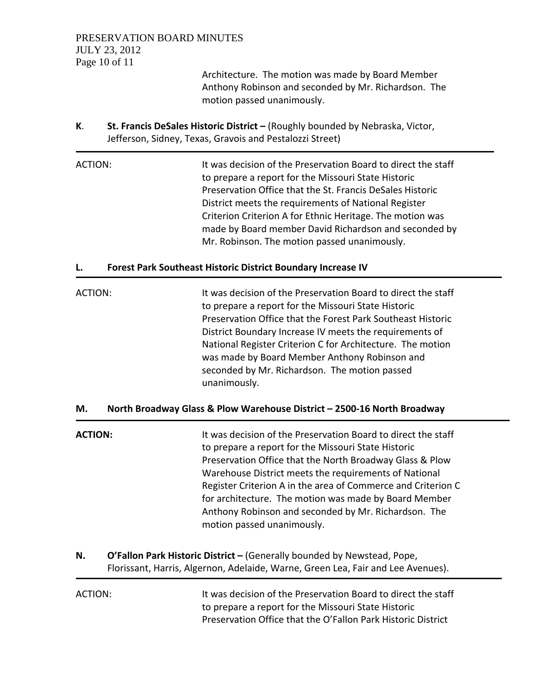Architecture. The motion was made by Board Member Anthony Robinson and seconded by Mr. Richardson. The motion passed unanimously.

**K**. **St. Francis DeSales Historic District –** (Roughly bounded by Nebraska, Victor, Jefferson, Sidney, Texas, Gravois and Pestalozzi Street)

ACTION: It was decision of the Preservation Board to direct the staff to prepare a report for the Missouri State Historic Preservation Office that the St. Francis DeSales Historic District meets the requirements of National Register Criterion Criterion A for Ethnic Heritage. The motion was made by Board member David Richardson and seconded by Mr. Robinson. The motion passed unanimously.

## **L. Forest Park Southeast Historic District Boundary Increase IV**

ACTION: It was decision of the Preservation Board to direct the staff to prepare a report for the Missouri State Historic Preservation Office that the Forest Park Southeast Historic District Boundary Increase IV meets the requirements of National Register Criterion C for Architecture. The motion was made by Board Member Anthony Robinson and seconded by Mr. Richardson. The motion passed unanimously.

## **M. North Broadway Glass & Plow Warehouse District – 2500‐16 North Broadway**

| <b>ACTION:</b> | It was decision of the Preservation Board to direct the staff<br>to prepare a report for the Missouri State Historic<br>Preservation Office that the North Broadway Glass & Plow<br>Warehouse District meets the requirements of National<br>Register Criterion A in the area of Commerce and Criterion C<br>for architecture. The motion was made by Board Member<br>Anthony Robinson and seconded by Mr. Richardson. The<br>motion passed unanimously. |
|----------------|----------------------------------------------------------------------------------------------------------------------------------------------------------------------------------------------------------------------------------------------------------------------------------------------------------------------------------------------------------------------------------------------------------------------------------------------------------|
| Ν.             | O'Fallon Park Historic District - (Generally bounded by Newstead, Pope,                                                                                                                                                                                                                                                                                                                                                                                  |

Florissant, Harris, Algernon, Adelaide, Warne, Green Lea, Fair and Lee Avenues).

| ACTION: | It was decision of the Preservation Board to direct the staff |
|---------|---------------------------------------------------------------|
|         | to prepare a report for the Missouri State Historic           |
|         | Preservation Office that the O'Fallon Park Historic District  |